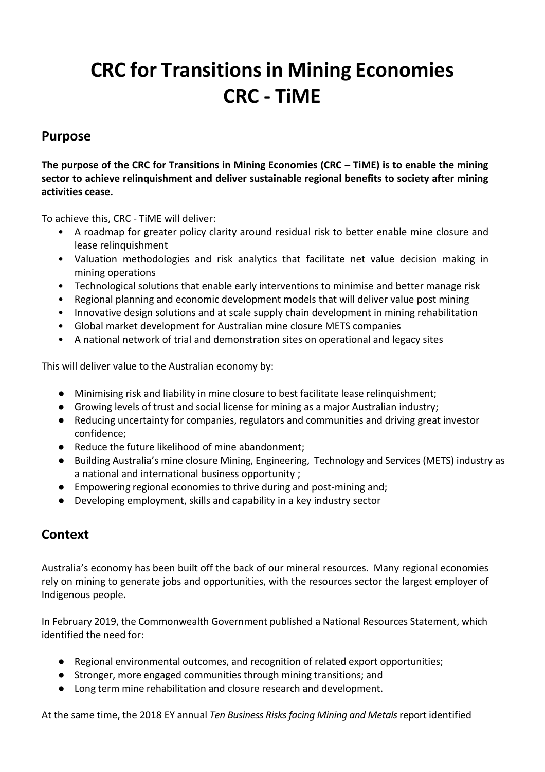# **CRC for Transitions in Mining Economies CRC - TiME**

### **Purpose**

**The purpose of the CRC for Transitions in Mining Economies (CRC – TiME) is to enable the mining sector to achieve relinquishment and deliver sustainable regional benefits to society after mining activities cease.**

To achieve this, CRC - TiME will deliver:

- A roadmap for greater policy clarity around residual risk to better enable mine closure and lease relinquishment
- Valuation methodologies and risk analytics that facilitate net value decision making in mining operations
- Technological solutions that enable early interventions to minimise and better manage risk
- Regional planning and economic development models that will deliver value post mining
- Innovative design solutions and at scale supply chain development in mining rehabilitation
- Global market development for Australian mine closure METS companies
- A national network of trial and demonstration sites on operational and legacy sites

This will deliver value to the Australian economy by:

- Minimising risk and liability in mine closure to best facilitate lease relinquishment;
- Growing levels of trust and social license for mining as a major Australian industry;
- Reducing uncertainty for companies, regulators and communities and driving great investor confidence;
- Reduce the future likelihood of mine abandonment;
- Building Australia's mine closure Mining, Engineering, Technology and Services (METS) industry as a national and international business opportunity ;
- Empowering regional economies to thrive during and post-mining and;
- Developing employment, skills and capability in a key industry sector

### **Context**

Australia's economy has been built off the back of our mineral resources. Many regional economies rely on mining to generate jobs and opportunities, with the resources sector the largest employer of Indigenous people.

In February 2019, the Commonwealth Government published a National Resources Statement, which identified the need for:

- Regional environmental outcomes, and recognition of related export opportunities;
- Stronger, more engaged communities through mining transitions; and
- Long term mine rehabilitation and closure research and development.

At the same time, the 2018 EY annual *Ten Business Risks facing Mining and Metals* report identified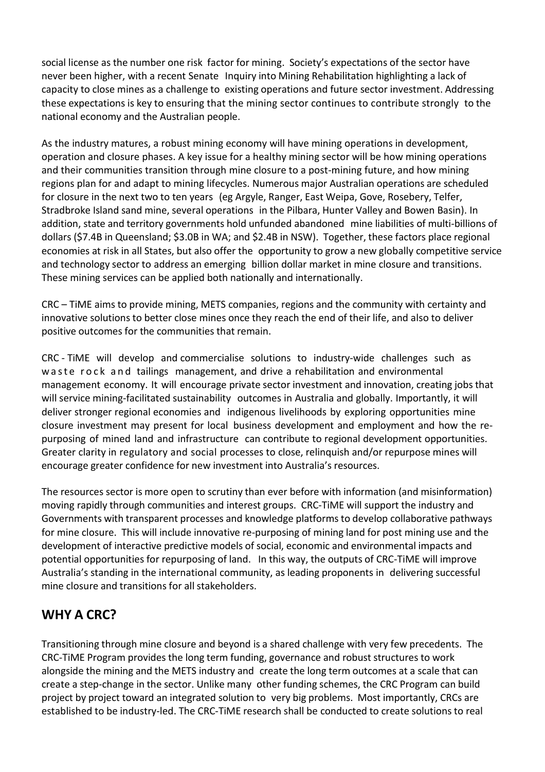social license as the number one risk factor for mining. Society's expectations of the sector have never been higher, with a recent Senate Inquiry into Mining Rehabilitation highlighting a lack of capacity to close mines as a challenge to existing operations and future sector investment. Addressing these expectations is key to ensuring that the mining sector continues to contribute strongly to the national economy and the Australian people.

As the industry matures, a robust mining economy will have mining operations in development, operation and closure phases. A key issue for a healthy mining sector will be how mining operations and their communities transition through mine closure to a post-mining future, and how mining regions plan for and adapt to mining lifecycles. Numerous major Australian operations are scheduled for closure in the next two to ten years (eg Argyle, Ranger, East Weipa, Gove, Rosebery, Telfer, Stradbroke Island sand mine, several operations in the Pilbara, Hunter Valley and Bowen Basin). In addition, state and territory governments hold unfunded abandoned mine liabilities of multi-billions of dollars (\$7.4B in Queensland; \$3.0B in WA; and \$2.4B in NSW). Together, these factors place regional economies at risk in all States, but also offer the opportunity to grow a new globally competitive service and technology sector to address an emerging billion dollar market in mine closure and transitions. These mining services can be applied both nationally and internationally.

CRC – TiME aims to provide mining, METS companies, regions and the community with certainty and innovative solutions to better close mines once they reach the end of their life, and also to deliver positive outcomes for the communities that remain.

CRC - TiME will develop and commercialise solutions to industry-wide challenges such as w a ste rock and tailings management, and drive a rehabilitation and environmental management economy. It will encourage private sector investment and innovation, creating jobs that will service mining-facilitated sustainability outcomes in Australia and globally. Importantly, it will deliver stronger regional economies and indigenous livelihoods by exploring opportunities mine closure investment may present for local business development and employment and how the repurposing of mined land and infrastructure can contribute to regional development opportunities. Greater clarity in regulatory and social processes to close, relinquish and/or repurpose mines will encourage greater confidence for new investment into Australia's resources.

The resources sector is more open to scrutiny than ever before with information (and misinformation) moving rapidly through communities and interest groups. CRC-TiME will support the industry and Governments with transparent processes and knowledge platforms to develop collaborative pathways for mine closure. This will include innovative re-purposing of mining land for post mining use and the development of interactive predictive models of social, economic and environmental impacts and potential opportunities for repurposing of land. In this way, the outputs of CRC-TiME will improve Australia's standing in the international community, as leading proponents in delivering successful mine closure and transitions for all stakeholders.

### **WHY A CRC?**

Transitioning through mine closure and beyond is a shared challenge with very few precedents. The CRC-TiME Program provides the long term funding, governance and robust structures to work alongside the mining and the METS industry and create the long term outcomes at a scale that can create a step-change in the sector. Unlike many other funding schemes, the CRC Program can build project by project toward an integrated solution to very big problems. Most importantly, CRCs are established to be industry-led. The CRC-TiME research shall be conducted to create solutions to real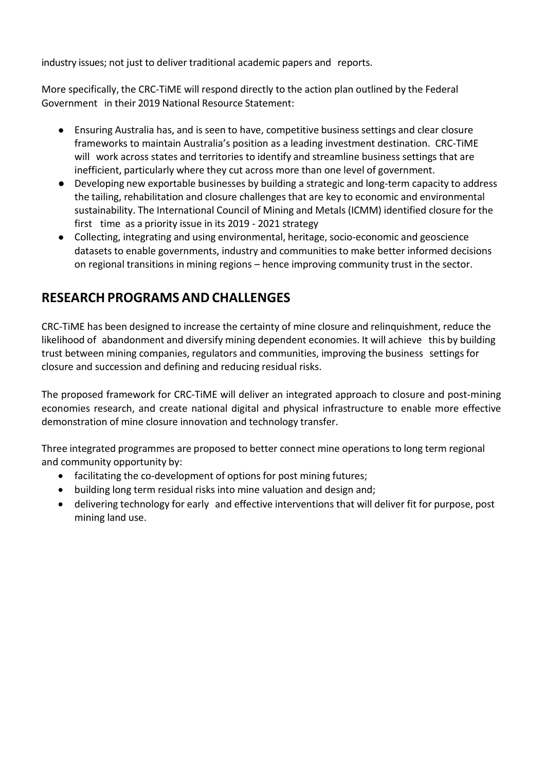industry issues; not just to deliver traditional academic papers and reports.

More specifically, the CRC-TiME will respond directly to the action plan outlined by the Federal Government in their 2019 National Resource Statement:

- Ensuring Australia has, and is seen to have, competitive business settings and clear closure frameworks to maintain Australia's position as a leading investment destination. CRC-TiME will work across states and territories to identify and streamline business settings that are inefficient, particularly where they cut across more than one level of government.
- Developing new exportable businesses by building a strategic and long-term capacity to address the tailing, rehabilitation and closure challenges that are key to economic and environmental sustainability. The International Council of Mining and Metals (ICMM) identified closure for the first time as a priority issue in its 2019 - 2021 strategy
- Collecting, integrating and using environmental, heritage, socio-economic and geoscience datasets to enable governments, industry and communities to make better informed decisions on regional transitions in mining regions – hence improving community trust in the sector.

### **RESEARCH PROGRAMS AND CHALLENGES**

CRC-TiME has been designed to increase the certainty of mine closure and relinquishment, reduce the likelihood of abandonment and diversify mining dependent economies. It will achieve this by building trust between mining companies, regulators and communities, improving the business settings for closure and succession and defining and reducing residual risks.

The proposed framework for CRC-TiME will deliver an integrated approach to closure and post-mining economies research, and create national digital and physical infrastructure to enable more effective demonstration of mine closure innovation and technology transfer.

Three integrated programmes are proposed to better connect mine operations to long term regional and community opportunity by:

- facilitating the co-development of options for post mining futures;
- building long term residual risks into mine valuation and design and;
- delivering technology for early and effective interventions that will deliver fit for purpose, post mining land use.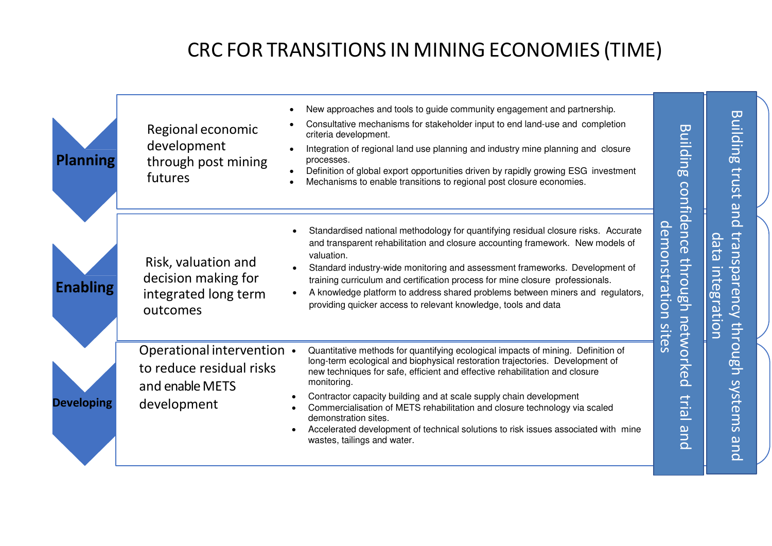# CRC FOR TRANSITIONS IN MINING ECONOMIES (TIME)

| <b>Planning</b>   | Regional economic<br>development<br>through post mining<br>futures                       | New approaches and tools to guide community engagement and partnership.<br>Consultative mechanisms for stakeholder input to end land-use and completion<br>criteria development.<br>Integration of regional land use planning and industry mine planning and closure<br>processes.<br>Definition of global export opportunities driven by rapidly growing ESG investment<br>Mechanisms to enable transitions to regional post closure economies.                                                                                                                 | <u>Building</u>                                                        | Build<br>ling<br>trust                                                                                                    |
|-------------------|------------------------------------------------------------------------------------------|------------------------------------------------------------------------------------------------------------------------------------------------------------------------------------------------------------------------------------------------------------------------------------------------------------------------------------------------------------------------------------------------------------------------------------------------------------------------------------------------------------------------------------------------------------------|------------------------------------------------------------------------|---------------------------------------------------------------------------------------------------------------------------|
| <b>Enabling</b>   | Risk, valuation and<br>decision making for<br>integrated long term<br>outcomes           | Standardised national methodology for quantifying residual closure risks. Accurate<br>and transparent rehabilitation and closure accounting framework. New models of<br>valuation.<br>Standard industry-wide monitoring and assessment frameworks. Development of<br>training curriculum and certification process for mine closure professionals.<br>A knowledge platform to address shared problems between miners and regulators,<br>providing quicker access to relevant knowledge, tools and data                                                           | confidence<br>demonstration<br><u>through</u><br>netwo<br><b>Sites</b> | and<br><b>trans</b><br>$\Omega$<br>eqe<br>Ò<br><u>inte</u><br>den<br>iag<br>Lg<br>$\bar{\mathcal{S}}$<br>ē.<br>Q<br>$\Xi$ |
| <b>Developing</b> | Operational intervention •<br>to reduce residual risks<br>and enable METS<br>development | Quantitative methods for quantifying ecological impacts of mining. Definition of<br>long-term ecological and biophysical restoration trajectories. Development of<br>new techniques for safe, efficient and effective rehabilitation and closure<br>monitoring.<br>Contractor capacity building and at scale supply chain development<br>Commercialisation of METS rehabilitation and closure technology via scaled<br>demonstration sites.<br>Accelerated development of technical solutions to risk issues associated with mine<br>wastes, tailings and water. | Ked<br>trial<br>pue                                                    | $\overline{O}$<br><u>ngn</u><br>systems and                                                                               |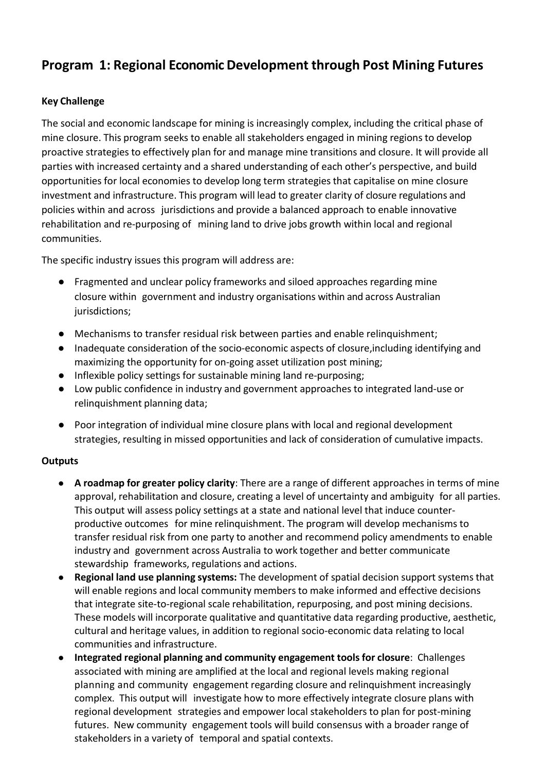### **Program 1: Regional Economic Development through Post Mining Futures**

### **Key Challenge**

The social and economic landscape for mining is increasingly complex, including the critical phase of mine closure. This program seeks to enable all stakeholders engaged in mining regions to develop proactive strategies to effectively plan for and manage mine transitions and closure. It will provide all parties with increased certainty and a shared understanding of each other's perspective, and build opportunities for local economies to develop long term strategies that capitalise on mine closure investment and infrastructure. This program will lead to greater clarity of closure regulations and policies within and across jurisdictions and provide a balanced approach to enable innovative rehabilitation and re-purposing of mining land to drive jobs growth within local and regional communities.

The specific industry issues this program will address are:

- Fragmented and unclear policy frameworks and siloed approaches regarding mine closure within government and industry organisations within and across Australian jurisdictions;
- Mechanisms to transfer residual risk between parties and enable relinquishment;
- Inadequate consideration of the socio-economic aspects of closure,including identifying and maximizing the opportunity for on-going asset utilization post mining;
- Inflexible policy settings for sustainable mining land re-purposing;
- Low public confidence in industry and government approaches to integrated land-use or relinquishment planning data;
- Poor integration of individual mine closure plans with local and regional development strategies, resulting in missed opportunities and lack of consideration of cumulative impacts.

#### **Outputs**

- **A roadmap for greater policy clarity**: There are a range of different approaches in terms of mine approval, rehabilitation and closure, creating a level of uncertainty and ambiguity for all parties. This output will assess policy settings at a state and national level that induce counterproductive outcomes for mine relinquishment. The program will develop mechanisms to transfer residual risk from one party to another and recommend policy amendments to enable industry and government across Australia to work together and better communicate stewardship frameworks, regulations and actions.
- **Regional land use planning systems:** The development of spatial decision support systems that will enable regions and local community members to make informed and effective decisions that integrate site-to-regional scale rehabilitation, repurposing, and post mining decisions. These models will incorporate qualitative and quantitative data regarding productive, aesthetic, cultural and heritage values, in addition to regional socio-economic data relating to local communities and infrastructure.
- **Integrated regional planning and community engagement tools for closure**: Challenges associated with mining are amplified at the local and regional levels making regional planning and community engagement regarding closure and relinquishment increasingly complex. This output will investigate how to more effectively integrate closure plans with regional development strategies and empower local stakeholders to plan for post-mining futures. New community engagement tools will build consensus with a broader range of stakeholders in a variety of temporal and spatial contexts.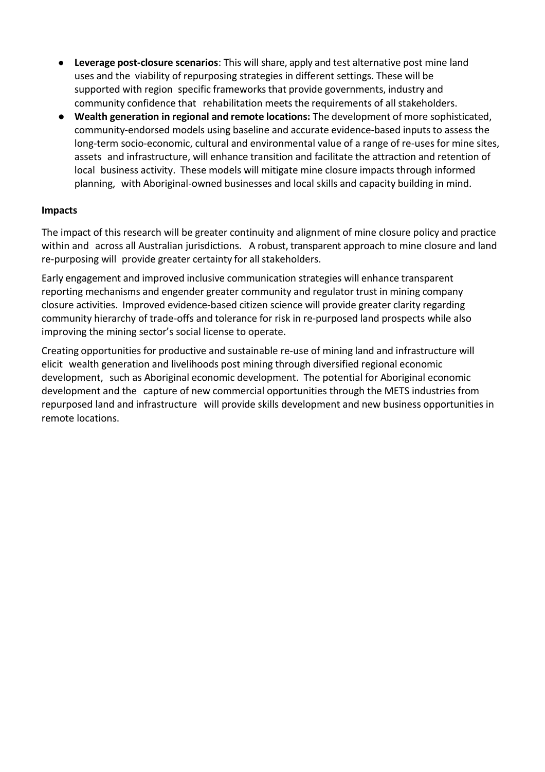- **Leverage post-closure scenarios**: This will share, apply and test alternative post mine land uses and the viability of repurposing strategies in different settings. These will be supported with region specific frameworks that provide governments, industry and community confidence that rehabilitation meets the requirements of all stakeholders.
- **Wealth generation in regional and remote locations:** The development of more sophisticated, community-endorsed models using baseline and accurate evidence-based inputs to assess the long-term socio-economic, cultural and environmental value of a range of re-uses for mine sites, assets and infrastructure, will enhance transition and facilitate the attraction and retention of local business activity. These models will mitigate mine closure impacts through informed planning, with Aboriginal-owned businesses and local skills and capacity building in mind.

#### **Impacts**

The impact of this research will be greater continuity and alignment of mine closure policy and practice within and across all Australian jurisdictions. A robust, transparent approach to mine closure and land re-purposing will provide greater certainty for all stakeholders.

Early engagement and improved inclusive communication strategies will enhance transparent reporting mechanisms and engender greater community and regulator trust in mining company closure activities. Improved evidence-based citizen science will provide greater clarity regarding community hierarchy of trade-offs and tolerance for risk in re-purposed land prospects while also improving the mining sector's social license to operate.

Creating opportunities for productive and sustainable re-use of mining land and infrastructure will elicit wealth generation and livelihoods post mining through diversified regional economic development, such as Aboriginal economic development. The potential for Aboriginal economic development and the capture of new commercial opportunities through the METS industries from repurposed land and infrastructure will provide skills development and new business opportunities in remote locations.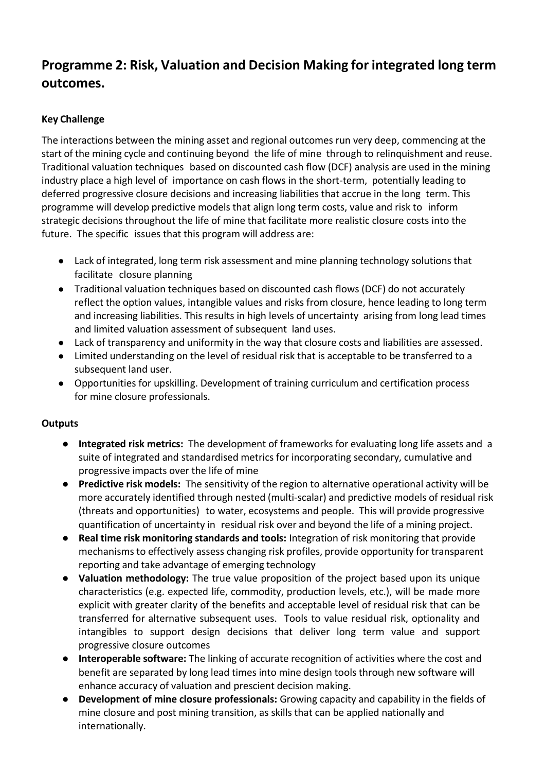## **Programme 2: Risk, Valuation and Decision Making for integrated long term outcomes.**

### **Key Challenge**

The interactions between the mining asset and regional outcomes run very deep, commencing at the start of the mining cycle and continuing beyond the life of mine through to relinquishment and reuse. Traditional valuation techniques based on discounted cash flow (DCF) analysis are used in the mining industry place a high level of importance on cash flows in the short-term, potentially leading to deferred progressive closure decisions and increasing liabilities that accrue in the long term. This programme will develop predictive models that align long term costs, value and risk to inform strategic decisions throughout the life of mine that facilitate more realistic closure costs into the future. The specific issues that this program will address are:

- Lack of integrated, long term risk assessment and mine planning technology solutions that facilitate closure planning
- Traditional valuation techniques based on discounted cash flows (DCF) do not accurately reflect the option values, intangible values and risks from closure, hence leading to long term and increasing liabilities. This results in high levels of uncertainty arising from long lead times and limited valuation assessment of subsequent land uses.
- Lack of transparency and uniformity in the way that closure costs and liabilities are assessed.
- Limited understanding on the level of residual risk that is acceptable to be transferred to a subsequent land user.
- Opportunities for upskilling. Development of training curriculum and certification process for mine closure professionals.

#### **Outputs**

- **Integrated risk metrics:** The development of frameworks for evaluating long life assets and a suite of integrated and standardised metrics for incorporating secondary, cumulative and progressive impacts over the life of mine
- **Predictive risk models:** The sensitivity of the region to alternative operational activity will be more accurately identified through nested (multi-scalar) and predictive models of residual risk (threats and opportunities) to water, ecosystems and people. This will provide progressive quantification of uncertainty in residual risk over and beyond the life of a mining project.
- **Real time risk monitoring standards and tools:** Integration of risk monitoring that provide mechanisms to effectively assess changing risk profiles, provide opportunity for transparent reporting and take advantage of emerging technology
- **Valuation methodology:** The true value proposition of the project based upon its unique characteristics (e.g. expected life, commodity, production levels, etc.), will be made more explicit with greater clarity of the benefits and acceptable level of residual risk that can be transferred for alternative subsequent uses. Tools to value residual risk, optionality and intangibles to support design decisions that deliver long term value and support progressive closure outcomes
- **Interoperable software:** The linking of accurate recognition of activities where the cost and benefit are separated by long lead times into mine design tools through new software will enhance accuracy of valuation and prescient decision making.
- **Development of mine closure professionals:** Growing capacity and capability in the fields of mine closure and post mining transition, as skills that can be applied nationally and internationally.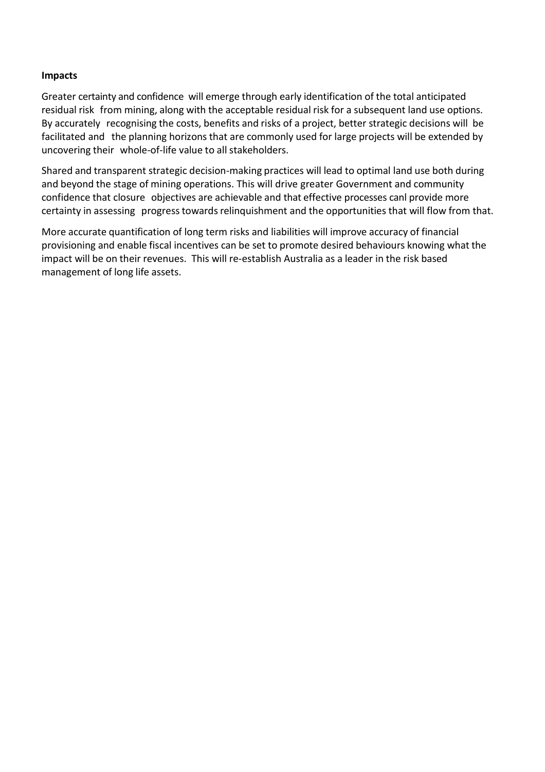#### **Impacts**

Greater certainty and confidence will emerge through early identification of the total anticipated residual risk from mining, along with the acceptable residual risk for a subsequent land use options. By accurately recognising the costs, benefits and risks of a project, better strategic decisions will be facilitated and the planning horizons that are commonly used for large projects will be extended by uncovering their whole-of-life value to all stakeholders.

Shared and transparent strategic decision-making practices will lead to optimal land use both during and beyond the stage of mining operations. This will drive greater Government and community confidence that closure objectives are achievable and that effective processes canl provide more certainty in assessing progress towards relinquishment and the opportunities that will flow from that.

More accurate quantification of long term risks and liabilities will improve accuracy of financial provisioning and enable fiscal incentives can be set to promote desired behaviours knowing what the impact will be on their revenues. This will re-establish Australia as a leader in the risk based management of long life assets.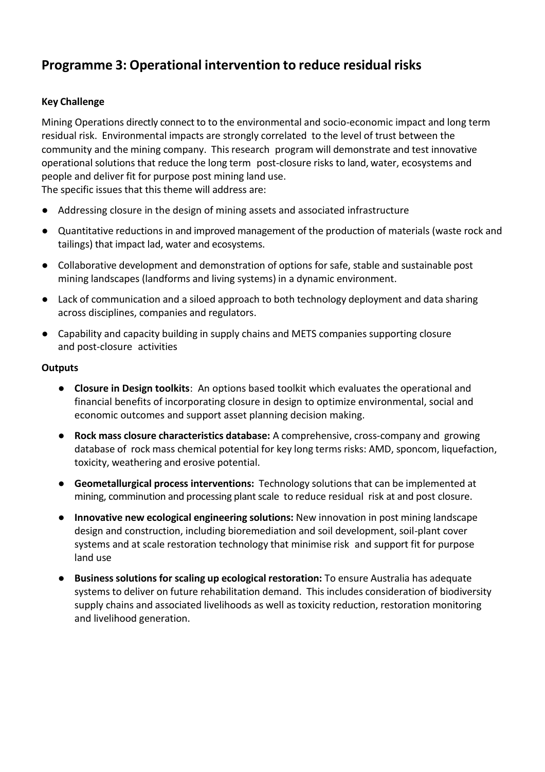### **Programme 3: Operational intervention to reduce residual risks**

### **Key Challenge**

Mining Operations directly connect to to the environmental and socio-economic impact and long term residual risk. Environmental impacts are strongly correlated to the level of trust between the community and the mining company. This research program will demonstrate and test innovative operational solutions that reduce the long term post-closure risks to land, water, ecosystems and people and deliver fit for purpose post mining land use. The specific issues that this theme will address are:

- Addressing closure in the design of mining assets and associated infrastructure
- Quantitative reductions in and improved management of the production of materials (waste rock and tailings) that impact lad, water and ecosystems.
- Collaborative development and demonstration of options for safe, stable and sustainable post mining landscapes (landforms and living systems) in a dynamic environment.
- Lack of communication and a siloed approach to both technology deployment and data sharing across disciplines, companies and regulators.
- Capability and capacity building in supply chains and METS companies supporting closure and post-closure activities

#### **Outputs**

- **Closure in Design toolkits**: An options based toolkit which evaluates the operational and financial benefits of incorporating closure in design to optimize environmental, social and economic outcomes and support asset planning decision making.
- **Rock mass closure characteristics database:** A comprehensive, cross-company and growing database of rock mass chemical potential for key long terms risks: AMD, sponcom, liquefaction, toxicity, weathering and erosive potential.
- **Geometallurgical process interventions:** Technology solutions that can be implemented at mining, comminution and processing plant scale to reduce residual risk at and post closure.
- **Innovative new ecological engineering solutions:** New innovation in post mining landscape design and construction, including bioremediation and soil development, soil-plant cover systems and at scale restoration technology that minimise risk and support fit for purpose land use
- **Business solutions for scaling up ecological restoration:** To ensure Australia has adequate systems to deliver on future rehabilitation demand. This includes consideration of biodiversity supply chains and associated livelihoods as well as toxicity reduction, restoration monitoring and livelihood generation.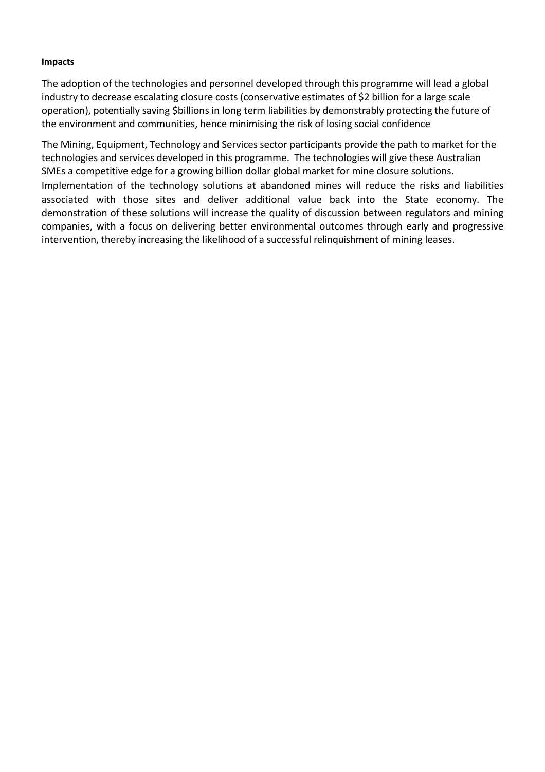#### **Impacts**

The adoption of the technologies and personnel developed through this programme will lead a global industry to decrease escalating closure costs (conservative estimates of \$2 billion for a large scale operation), potentially saving \$billions in long term liabilities by demonstrably protecting the future of the environment and communities, hence minimising the risk of losing social confidence

The Mining, Equipment, Technology and Services sector participants provide the path to market for the technologies and services developed in this programme. The technologies will give these Australian SMEs a competitive edge for a growing billion dollar global market for mine closure solutions. Implementation of the technology solutions at abandoned mines will reduce the risks and liabilities associated with those sites and deliver additional value back into the State economy. The demonstration of these solutions will increase the quality of discussion between regulators and mining companies, with a focus on delivering better environmental outcomes through early and progressive intervention, thereby increasing the likelihood of a successful relinquishment of mining leases.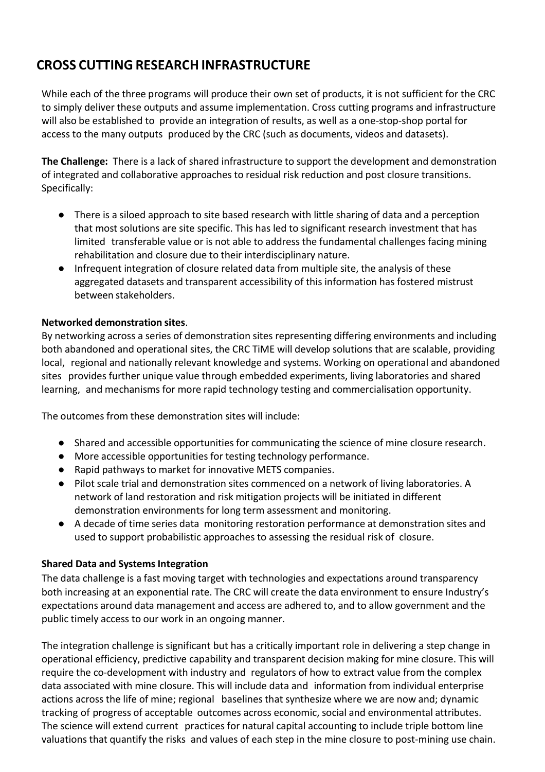# **CROSS CUTTING RESEARCH INFRASTRUCTURE**

While each of the three programs will produce their own set of products, it is not sufficient for the CRC to simply deliver these outputs and assume implementation. Cross cutting programs and infrastructure will also be established to provide an integration of results, as well as a one-stop-shop portal for access to the many outputs produced by the CRC (such as documents, videos and datasets).

**The Challenge:** There is a lack of shared infrastructure to support the development and demonstration of integrated and collaborative approaches to residual risk reduction and post closure transitions. Specifically:

- There is a siloed approach to site based research with little sharing of data and a perception that most solutions are site specific. This has led to significant research investment that has limited transferable value or is not able to address the fundamental challenges facing mining rehabilitation and closure due to their interdisciplinary nature.
- Infrequent integration of closure related data from multiple site, the analysis of these aggregated datasets and transparent accessibility of this information has fostered mistrust between stakeholders.

### **Networked demonstration sites**.

By networking across a series of demonstration sites representing differing environments and including both abandoned and operational sites, the CRC TiME will develop solutions that are scalable, providing local, regional and nationally relevant knowledge and systems. Working on operational and abandoned sites provides further unique value through embedded experiments, living laboratories and shared learning, and mechanisms for more rapid technology testing and commercialisation opportunity.

The outcomes from these demonstration sites will include:

- Shared and accessible opportunities for communicating the science of mine closure research.
- More accessible opportunities for testing technology performance.
- Rapid pathways to market for innovative METS companies.
- Pilot scale trial and demonstration sites commenced on a network of living laboratories. A network of land restoration and risk mitigation projects will be initiated in different demonstration environments for long term assessment and monitoring.
- A decade of time series data monitoring restoration performance at demonstration sites and used to support probabilistic approaches to assessing the residual risk of closure.

#### **Shared Data and Systems Integration**

The data challenge is a fast moving target with technologies and expectations around transparency both increasing at an exponential rate. The CRC will create the data environment to ensure Industry's expectations around data management and access are adhered to, and to allow government and the public timely access to our work in an ongoing manner.

The integration challenge is significant but has a critically important role in delivering a step change in operational efficiency, predictive capability and transparent decision making for mine closure. This will require the co-development with industry and regulators of how to extract value from the complex data associated with mine closure. This will include data and information from individual enterprise actions across the life of mine; regional baselines that synthesize where we are now and; dynamic tracking of progress of acceptable outcomes across economic, social and environmental attributes. The science will extend current practices for natural capital accounting to include triple bottom line valuations that quantify the risks and values of each step in the mine closure to post-mining use chain.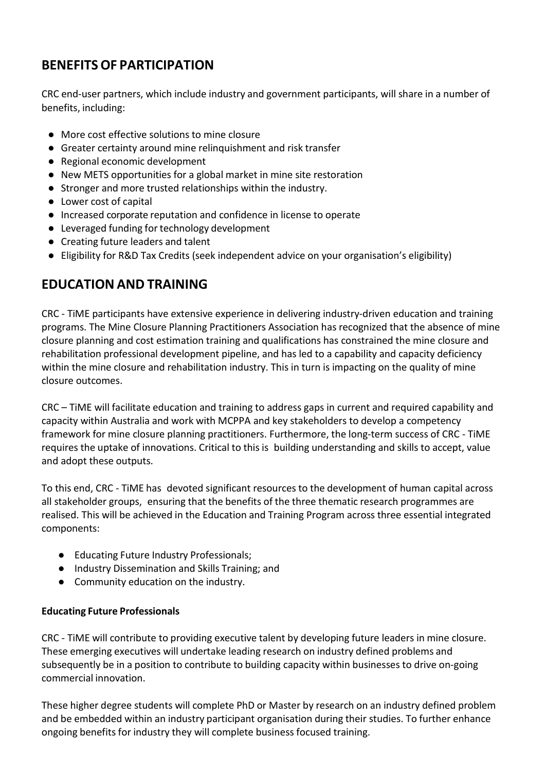## **BENEFITS OF PARTICIPATION**

CRC end-user partners, which include industry and government participants, will share in a number of benefits, including:

- More cost effective solutions to mine closure
- Greater certainty around mine relinquishment and risk transfer
- Regional economic development
- New METS opportunities for a global market in mine site restoration
- Stronger and more trusted relationships within the industry.
- Lower cost of capital
- Increased corporate reputation and confidence in license to operate
- Leveraged funding for technology development
- Creating future leaders and talent
- Eligibility for R&D Tax Credits (seek independent advice on your organisation's eligibility)

### **EDUCATION AND TRAINING**

CRC - TiME participants have extensive experience in delivering industry-driven education and training programs. The Mine Closure Planning Practitioners Association has recognized that the absence of mine closure planning and cost estimation training and qualifications has constrained the mine closure and rehabilitation professional development pipeline, and has led to a capability and capacity deficiency within the mine closure and rehabilitation industry. This in turn is impacting on the quality of mine closure outcomes.

CRC – TiME will facilitate education and training to address gaps in current and required capability and capacity within Australia and work with MCPPA and key stakeholders to develop a competency framework for mine closure planning practitioners. Furthermore, the long-term success of CRC - TiME requires the uptake of innovations. Critical to this is building understanding and skills to accept, value and adopt these outputs.

To this end, CRC - TiME has devoted significant resources to the development of human capital across all stakeholder groups, ensuring that the benefits of the three thematic research programmes are realised. This will be achieved in the Education and Training Program across three essential integrated components:

- Educating Future Industry Professionals;
- Industry Dissemination and Skills Training; and
- Community education on the industry.

#### **Educating Future Professionals**

CRC - TiME will contribute to providing executive talent by developing future leaders in mine closure. These emerging executives will undertake leading research on industry defined problems and subsequently be in a position to contribute to building capacity within businesses to drive on-going commercial innovation.

These higher degree students will complete PhD or Master by research on an industry defined problem and be embedded within an industry participant organisation during their studies. To further enhance ongoing benefits for industry they will complete business focused training.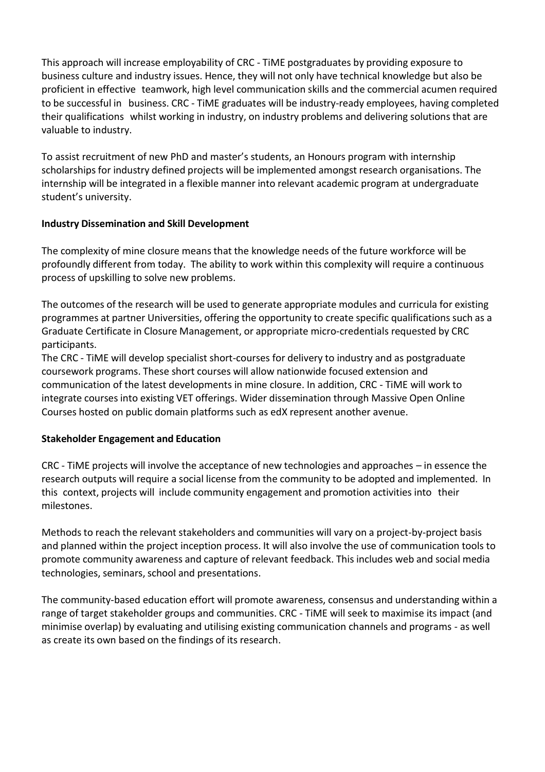This approach will increase employability of CRC - TiME postgraduates by providing exposure to business culture and industry issues. Hence, they will not only have technical knowledge but also be proficient in effective teamwork, high level communication skills and the commercial acumen required to be successful in business. CRC - TiME graduates will be industry-ready employees, having completed their qualifications whilst working in industry, on industry problems and delivering solutions that are valuable to industry.

To assist recruitment of new PhD and master's students, an Honours program with internship scholarships for industry defined projects will be implemented amongst research organisations. The internship will be integrated in a flexible manner into relevant academic program at undergraduate student's university.

#### **Industry Dissemination and Skill Development**

The complexity of mine closure means that the knowledge needs of the future workforce will be profoundly different from today. The ability to work within this complexity will require a continuous process of upskilling to solve new problems.

The outcomes of the research will be used to generate appropriate modules and curricula for existing programmes at partner Universities, offering the opportunity to create specific qualifications such as a Graduate Certificate in Closure Management, or appropriate micro-credentials requested by CRC participants.

The CRC - TiME will develop specialist short-courses for delivery to industry and as postgraduate coursework programs. These short courses will allow nationwide focused extension and communication of the latest developments in mine closure. In addition, CRC - TiME will work to integrate courses into existing VET offerings. Wider dissemination through Massive Open Online Courses hosted on public domain platforms such as edX represent another avenue.

### **Stakeholder Engagement and Education**

CRC - TiME projects will involve the acceptance of new technologies and approaches – in essence the research outputs will require a social license from the community to be adopted and implemented. In this context, projects will include community engagement and promotion activities into their milestones.

Methods to reach the relevant stakeholders and communities will vary on a project-by-project basis and planned within the project inception process. It will also involve the use of communication tools to promote community awareness and capture of relevant feedback. This includes web and social media technologies, seminars, school and presentations.

The community-based education effort will promote awareness, consensus and understanding within a range of target stakeholder groups and communities. CRC - TiME will seek to maximise its impact (and minimise overlap) by evaluating and utilising existing communication channels and programs - as well as create its own based on the findings of its research.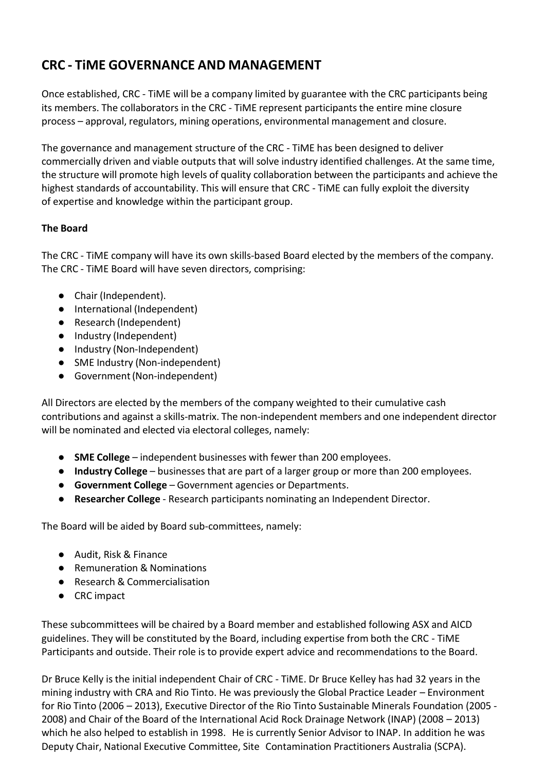# **CRC - TiME GOVERNANCE AND MANAGEMENT**

Once established, CRC - TiME will be a company limited by guarantee with the CRC participants being its members. The collaborators in the CRC - TiME represent participants the entire mine closure process – approval, regulators, mining operations, environmental management and closure.

The governance and management structure of the CRC - TiME has been designed to deliver commercially driven and viable outputs that will solve industry identified challenges. At the same time, the structure will promote high levels of quality collaboration between the participants and achieve the highest standards of accountability. This will ensure that CRC - TiME can fully exploit the diversity of expertise and knowledge within the participant group.

### **The Board**

The CRC - TiME company will have its own skills-based Board elected by the members of the company. The CRC - TiME Board will have seven directors, comprising:

- Chair (Independent).
- International (Independent)
- Research (Independent)
- Industry (Independent)
- Industry (Non-Independent)
- SME Industry (Non-independent)
- Government (Non-independent)

All Directors are elected by the members of the company weighted to their cumulative cash contributions and against a skills-matrix. The non-independent members and one independent director will be nominated and elected via electoral colleges, namely:

- **SME College**  independent businesses with fewer than 200 employees.
- **Industry College**  businesses that are part of a larger group or more than 200 employees.
- **Government College**  Government agencies or Departments.
- **Researcher College**  Research participants nominating an Independent Director.

The Board will be aided by Board sub-committees, namely:

- Audit, Risk & Finance
- Remuneration & Nominations
- Research & Commercialisation
- CRC impact

These subcommittees will be chaired by a Board member and established following ASX and AICD guidelines. They will be constituted by the Board, including expertise from both the CRC - TiME Participants and outside. Their role is to provide expert advice and recommendations to the Board.

Dr Bruce Kelly is the initial independent Chair of CRC - TiME. Dr Bruce Kelley has had 32 years in the mining industry with CRA and Rio Tinto. He was previously the Global Practice Leader – Environment for Rio Tinto (2006 – 2013), Executive Director of the Rio Tinto Sustainable Minerals Foundation (2005 - 2008) and Chair of the Board of the International Acid Rock Drainage Network (INAP) (2008 – 2013) which he also helped to establish in 1998. He is currently Senior Advisor to INAP. In addition he was Deputy Chair, National Executive Committee, Site Contamination Practitioners Australia (SCPA).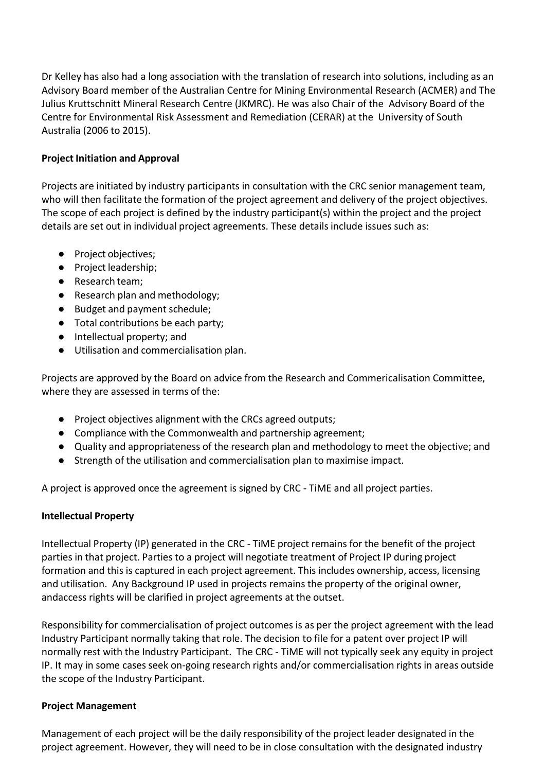Dr Kelley has also had a long association with the translation of research into solutions, including as an Advisory Board member of the Australian Centre for Mining Environmental Research (ACMER) and The Julius Kruttschnitt Mineral Research Centre (JKMRC). He was also Chair of the Advisory Board of the Centre for Environmental Risk Assessment and Remediation (CERAR) at the University of South Australia (2006 to 2015).

### **Project Initiation and Approval**

Projects are initiated by industry participants in consultation with the CRC senior management team, who will then facilitate the formation of the project agreement and delivery of the project objectives. The scope of each project is defined by the industry participant(s) within the project and the project details are set out in individual project agreements. These details include issues such as:

- Project objectives;
- Project leadership;
- Research team;
- Research plan and methodology;
- Budget and payment schedule;
- Total contributions be each party;
- Intellectual property; and
- Utilisation and commercialisation plan.

Projects are approved by the Board on advice from the Research and Commericalisation Committee, where they are assessed in terms of the:

- Project objectives alignment with the CRCs agreed outputs;
- Compliance with the Commonwealth and partnership agreement;
- Quality and appropriateness of the research plan and methodology to meet the objective; and
- Strength of the utilisation and commercialisation plan to maximise impact.

A project is approved once the agreement is signed by CRC - TiME and all project parties.

#### **Intellectual Property**

Intellectual Property (IP) generated in the CRC - TiME project remains for the benefit of the project parties in that project. Parties to a project will negotiate treatment of Project IP during project formation and this is captured in each project agreement. This includes ownership, access, licensing and utilisation. Any Background IP used in projects remains the property of the original owner, andaccess rights will be clarified in project agreements at the outset.

Responsibility for commercialisation of project outcomes is as per the project agreement with the lead Industry Participant normally taking that role. The decision to file for a patent over project IP will normally rest with the Industry Participant. The CRC - TiME will not typically seek any equity in project IP. It may in some cases seek on-going research rights and/or commercialisation rights in areas outside the scope of the Industry Participant.

#### **Project Management**

Management of each project will be the daily responsibility of the project leader designated in the project agreement. However, they will need to be in close consultation with the designated industry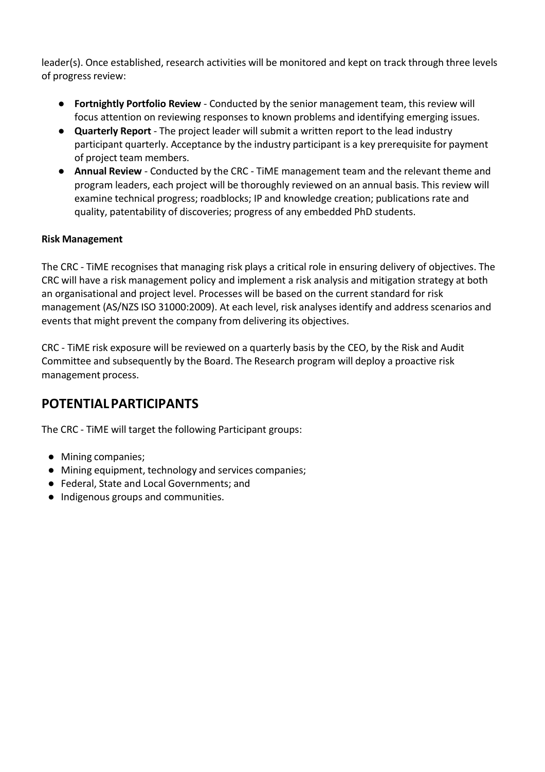leader(s). Once established, research activities will be monitored and kept on track through three levels of progress review:

- **Fortnightly Portfolio Review**  Conducted by the senior management team, this review will focus attention on reviewing responses to known problems and identifying emerging issues.
- **Quarterly Report**  The project leader will submit a written report to the lead industry participant quarterly. Acceptance by the industry participant is a key prerequisite for payment of project team members.
- **Annual Review**  Conducted by the CRC TiME management team and the relevant theme and program leaders, each project will be thoroughly reviewed on an annual basis. This review will examine technical progress; roadblocks; IP and knowledge creation; publications rate and quality, patentability of discoveries; progress of any embedded PhD students.

### **Risk Management**

The CRC - TiME recognises that managing risk plays a critical role in ensuring delivery of objectives. The CRC will have a risk management policy and implement a risk analysis and mitigation strategy at both an organisational and project level. Processes will be based on the current standard for risk management (AS/NZS ISO 31000:2009). At each level, risk analyses identify and address scenarios and events that might prevent the company from delivering its objectives.

CRC - TiME risk exposure will be reviewed on a quarterly basis by the CEO, by the Risk and Audit Committee and subsequently by the Board. The Research program will deploy a proactive risk management process.

### **POTENTIAL PARTICIPANTS**

The CRC - TiME will target the following Participant groups:

- Mining companies;
- Mining equipment, technology and services companies;
- Federal, State and Local Governments; and
- Indigenous groups and communities.